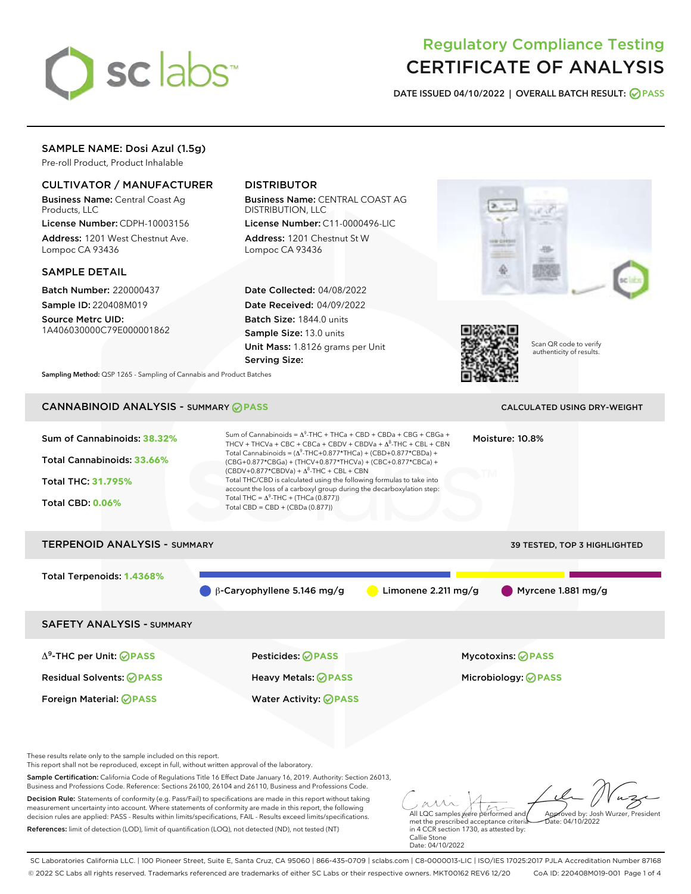

# Regulatory Compliance Testing CERTIFICATE OF ANALYSIS

DATE ISSUED 04/10/2022 | OVERALL BATCH RESULT: @ PASS

# SAMPLE NAME: Dosi Azul (1.5g)

Pre-roll Product, Product Inhalable

# CULTIVATOR / MANUFACTURER

Business Name: Central Coast Ag Products, LLC

License Number: CDPH-10003156 Address: 1201 West Chestnut Ave. Lompoc CA 93436

### SAMPLE DETAIL

Batch Number: 220000437 Sample ID: 220408M019

Source Metrc UID: 1A406030000C79E000001862

# DISTRIBUTOR

Business Name: CENTRAL COAST AG DISTRIBUTION, LLC

License Number: C11-0000496-LIC Address: 1201 Chestnut St W Lompoc CA 93436

Date Collected: 04/08/2022 Date Received: 04/09/2022 Batch Size: 1844.0 units Sample Size: 13.0 units Unit Mass: 1.8126 grams per Unit Serving Size:





Scan QR code to verify authenticity of results.

Sampling Method: QSP 1265 - Sampling of Cannabis and Product Batches

# CANNABINOID ANALYSIS - SUMMARY **PASS** CALCULATED USING DRY-WEIGHT

| Sum of Cannabinoids: 38.32%<br>Total Cannabinoids: 33.66%<br>Total THC: 31.795%<br><b>Total CBD: 0.06%</b> | Sum of Cannabinoids = $\Delta^9$ -THC + THCa + CBD + CBDa + CBG + CBGa +<br>THCV + THCVa + CBC + CBCa + CBDV + CBDVa + $\Delta^8$ -THC + CBL + CBN<br>Total Cannabinoids = $(\Delta^9$ -THC+0.877*THCa) + (CBD+0.877*CBDa) +<br>(CBG+0.877*CBGa) + (THCV+0.877*THCVa) + (CBC+0.877*CBCa) +<br>$(CBDV+0.877*CBDVa) + \Delta^8$ -THC + CBL + CBN<br>Total THC/CBD is calculated using the following formulas to take into<br>account the loss of a carboxyl group during the decarboxylation step:<br>Total THC = $\Delta^9$ -THC + (THCa (0.877))<br>Total CBD = $CBD + (CBDa (0.877))$ |                               | Moisture: 10.8%                     |  |
|------------------------------------------------------------------------------------------------------------|----------------------------------------------------------------------------------------------------------------------------------------------------------------------------------------------------------------------------------------------------------------------------------------------------------------------------------------------------------------------------------------------------------------------------------------------------------------------------------------------------------------------------------------------------------------------------------------|-------------------------------|-------------------------------------|--|
| <b>TERPENOID ANALYSIS - SUMMARY</b>                                                                        |                                                                                                                                                                                                                                                                                                                                                                                                                                                                                                                                                                                        |                               | <b>39 TESTED, TOP 3 HIGHLIGHTED</b> |  |
| Total Terpenoids: 1.4368%                                                                                  | $\beta$ -Caryophyllene 5.146 mg/g                                                                                                                                                                                                                                                                                                                                                                                                                                                                                                                                                      | Limonene $2.211 \text{ mg/g}$ | Myrcene 1.881 mg/g                  |  |
| <b>SAFETY ANALYSIS - SUMMARY</b>                                                                           |                                                                                                                                                                                                                                                                                                                                                                                                                                                                                                                                                                                        |                               |                                     |  |
| $\Delta^9$ -THC per Unit: <b>OPASS</b>                                                                     | Pesticides: ⊘PASS                                                                                                                                                                                                                                                                                                                                                                                                                                                                                                                                                                      |                               | <b>Mycotoxins: ⊘PASS</b>            |  |
| <b>Residual Solvents: ⊘PASS</b>                                                                            | Heavy Metals: ⊘PASS                                                                                                                                                                                                                                                                                                                                                                                                                                                                                                                                                                    |                               | Microbiology: <b>⊘</b> PASS         |  |
| <b>Foreign Material: ⊘PASS</b>                                                                             | <b>Water Activity: ⊘ PASS</b>                                                                                                                                                                                                                                                                                                                                                                                                                                                                                                                                                          |                               |                                     |  |

These results relate only to the sample included on this report.

This report shall not be reproduced, except in full, without written approval of the laboratory.

Sample Certification: California Code of Regulations Title 16 Effect Date January 16, 2019. Authority: Section 26013, Business and Professions Code. Reference: Sections 26100, 26104 and 26110, Business and Professions Code.

Decision Rule: Statements of conformity (e.g. Pass/Fail) to specifications are made in this report without taking measurement uncertainty into account. Where statements of conformity are made in this report, the following decision rules are applied: PASS - Results within limits/specifications, FAIL - Results exceed limits/specifications. References: limit of detection (LOD), limit of quantification (LOQ), not detected (ND), not tested (NT)

All LQC samples were performed and Approved by: Josh Wurzer, President Date: 04/10/2022

met the prescribed acceptance criteria in 4 CCR section 1730, as attested by: Callie Stone Date: 04/10/2022

SC Laboratories California LLC. | 100 Pioneer Street, Suite E, Santa Cruz, CA 95060 | 866-435-0709 | sclabs.com | C8-0000013-LIC | ISO/IES 17025:2017 PJLA Accreditation Number 87168 © 2022 SC Labs all rights reserved. Trademarks referenced are trademarks of either SC Labs or their respective owners. MKT00162 REV6 12/20 CoA ID: 220408M019-001 Page 1 of 4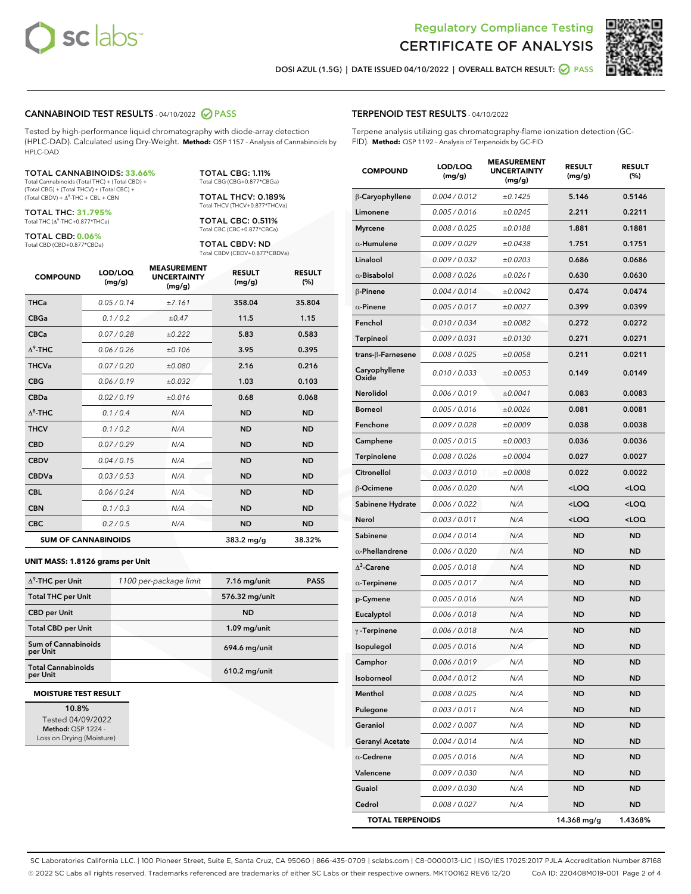



DOSI AZUL (1.5G) | DATE ISSUED 04/10/2022 | OVERALL BATCH RESULT: ◯ PASS

### CANNABINOID TEST RESULTS - 04/10/2022 2 PASS

Tested by high-performance liquid chromatography with diode-array detection (HPLC-DAD). Calculated using Dry-Weight. **Method:** QSP 1157 - Analysis of Cannabinoids by HPLC-DAD

#### TOTAL CANNABINOIDS: **33.66%**

Total Cannabinoids (Total THC) + (Total CBD) + (Total CBG) + (Total THCV) + (Total CBC) +  $(Total$  CBDV) +  $\Delta$ <sup>8</sup>-THC + CBL + CBN

TOTAL THC: **31.795%** Total THC (Δ<sup>9</sup> -THC+0.877\*THCa)

TOTAL CBD: **0.06%** Total CBD (CBD+0.877\*CBDa) TOTAL CBG: 1.11% Total CBG (CBG+0.877\*CBGa)

TOTAL THCV: 0.189% Total THCV (THCV+0.877\*THCVa)

TOTAL CBC: 0.511% Total CBC (CBC+0.877\*CBCa)

TOTAL CBDV: ND Total CBDV (CBDV+0.877\*CBDVa)

| <b>COMPOUND</b>  | LOD/LOO<br>(mg/g)          | <b>MEASUREMENT</b><br><b>UNCERTAINTY</b><br>(mg/g) | <b>RESULT</b><br>(mg/g) | <b>RESULT</b><br>(%) |
|------------------|----------------------------|----------------------------------------------------|-------------------------|----------------------|
| <b>THCa</b>      | 0.05/0.14                  | ±7.161                                             | 358.04                  | 35.804               |
| <b>CBGa</b>      | 0.1 / 0.2                  | $\pm 0.47$                                         | 11.5                    | 1.15                 |
| <b>CBCa</b>      | 0.07 / 0.28                | ±0.222                                             | 5.83                    | 0.583                |
| $\Lambda^9$ -THC | 0.06 / 0.26                | ±0.106                                             | 3.95                    | 0.395                |
| <b>THCVa</b>     | 0.07/0.20                  | ±0.080                                             | 2.16                    | 0.216                |
| <b>CBG</b>       | 0.06/0.19                  | ±0.032                                             | 1.03                    | 0.103                |
| <b>CBDa</b>      | 0.02/0.19                  | ±0.016                                             | 0.68                    | 0.068                |
| $\Lambda^8$ -THC | 0.1 / 0.4                  | N/A                                                | <b>ND</b>               | <b>ND</b>            |
| <b>THCV</b>      | 0.1/0.2                    | N/A                                                | <b>ND</b>               | <b>ND</b>            |
| <b>CBD</b>       | 0.07/0.29                  | N/A                                                | <b>ND</b>               | <b>ND</b>            |
| <b>CBDV</b>      | 0.04 / 0.15                | N/A                                                | <b>ND</b>               | <b>ND</b>            |
| <b>CBDVa</b>     | 0.03/0.53                  | N/A                                                | <b>ND</b>               | <b>ND</b>            |
| <b>CBL</b>       | 0.06 / 0.24                | N/A                                                | <b>ND</b>               | <b>ND</b>            |
| <b>CBN</b>       | 0.1 / 0.3                  | N/A                                                | <b>ND</b>               | <b>ND</b>            |
| <b>CBC</b>       | 0.2 / 0.5                  | N/A                                                | <b>ND</b>               | <b>ND</b>            |
|                  | <b>SUM OF CANNABINOIDS</b> |                                                    | 383.2 mg/g              | 38.32%               |

#### **UNIT MASS: 1.8126 grams per Unit**

| $\Delta^9$ -THC per Unit              | 1100 per-package limit | $7.16$ mg/unit  | <b>PASS</b> |
|---------------------------------------|------------------------|-----------------|-------------|
| <b>Total THC per Unit</b>             |                        | 576.32 mg/unit  |             |
| <b>CBD per Unit</b>                   |                        | <b>ND</b>       |             |
| <b>Total CBD per Unit</b>             |                        | $1.09$ mg/unit  |             |
| Sum of Cannabinoids<br>per Unit       |                        | $694.6$ mg/unit |             |
| <b>Total Cannabinoids</b><br>per Unit |                        | 610.2 mg/unit   |             |

#### **MOISTURE TEST RESULT**

10.8% Tested 04/09/2022 Method: QSP 1224 - Loss on Drying (Moisture)

| TERPENOID TEST RESULTS - 04/10/2022 |
|-------------------------------------|
|-------------------------------------|

Terpene analysis utilizing gas chromatography-flame ionization detection (GC-FID). **Method:** QSP 1192 - Analysis of Terpenoids by GC-FID

| <b>COMPOUND</b>         | LOD/LOQ<br>(mg/g) | <b>MEASUREMENT</b><br><b>UNCERTAINTY</b><br>(mg/g) | <b>RESULT</b><br>(mg/g)                          | <b>RESULT</b><br>(%) |
|-------------------------|-------------------|----------------------------------------------------|--------------------------------------------------|----------------------|
| β-Caryophyllene         | 0.004 / 0.012     | ±0.1425                                            | 5.146                                            | 0.5146               |
| Limonene                | 0.005 / 0.016     | ±0.0245                                            | 2.211                                            | 0.2211               |
| <b>Myrcene</b>          | 0.008 / 0.025     | ±0.0188                                            | 1.881                                            | 0.1881               |
| $\alpha$ -Humulene      | 0.009 / 0.029     | ±0.0438                                            | 1.751                                            | 0.1751               |
| Linalool                | 0.009 / 0.032     | ±0.0203                                            | 0.686                                            | 0.0686               |
| $\alpha$ -Bisabolol     | 0.008 / 0.026     | ±0.0261                                            | 0.630                                            | 0.0630               |
| β-Pinene                | 0.004 / 0.014     | ±0.0042                                            | 0.474                                            | 0.0474               |
| $\alpha$ -Pinene        | 0.005 / 0.017     | ±0.0027                                            | 0.399                                            | 0.0399               |
| Fenchol                 | 0.010 / 0.034     | ±0.0082                                            | 0.272                                            | 0.0272               |
| <b>Terpineol</b>        | 0.009 / 0.031     | ±0.0130                                            | 0.271                                            | 0.0271               |
| trans-β-Farnesene       | 0.008 / 0.025     | ±0.0058                                            | 0.211                                            | 0.0211               |
| Caryophyllene<br>Oxide  | 0.010 / 0.033     | ±0.0053                                            | 0.149                                            | 0.0149               |
| Nerolidol               | 0.006 / 0.019     | ±0.0041                                            | 0.083                                            | 0.0083               |
| Borneol                 | 0.005 / 0.016     | ±0.0026                                            | 0.081                                            | 0.0081               |
| Fenchone                | 0.009 / 0.028     | ±0.0009                                            | 0.038                                            | 0.0038               |
| Camphene                | 0.005 / 0.015     | ±0.0003                                            | 0.036                                            | 0.0036               |
| Terpinolene             | 0.008 / 0.026     | ±0.0004                                            | 0.027                                            | 0.0027               |
| Citronellol             | 0.003 / 0.010     | ±0.0008                                            | 0.022                                            | 0.0022               |
| β-Ocimene               | 0.006 / 0.020     | N/A                                                | <loq< th=""><th><loq< th=""></loq<></th></loq<>  | <loq< th=""></loq<>  |
| Sabinene Hydrate        | 0.006 / 0.022     | N/A                                                | <loq< th=""><th><loq< th=""></loq<></th></loq<>  | <loq< th=""></loq<>  |
| Nerol                   | 0.003 / 0.011     | N/A                                                | <loq< th=""><th><math>&lt;</math>LOQ</th></loq<> | $<$ LOQ              |
| Sabinene                | 0.004 / 0.014     | N/A                                                | <b>ND</b>                                        | <b>ND</b>            |
| $\alpha$ -Phellandrene  | 0.006 / 0.020     | N/A                                                | <b>ND</b>                                        | <b>ND</b>            |
| $\Delta^3$ -Carene      | 0.005 / 0.018     | N/A                                                | <b>ND</b>                                        | <b>ND</b>            |
| $\alpha$ -Terpinene     | 0.005 / 0.017     | N/A                                                | <b>ND</b>                                        | <b>ND</b>            |
| p-Cymene                | 0.005 / 0.016     | N/A                                                | <b>ND</b>                                        | <b>ND</b>            |
| Eucalyptol              | 0.006 / 0.018     | N/A                                                | <b>ND</b>                                        | <b>ND</b>            |
| $\gamma$ -Terpinene     | 0.006 / 0.018     | N/A                                                | <b>ND</b>                                        | <b>ND</b>            |
| Isopulegol              | 0.005 / 0.016     | N/A                                                | <b>ND</b>                                        | ND                   |
| Camphor                 | 0.006 / 0.019     | N/A                                                | <b>ND</b>                                        | ND                   |
| Isoborneol              | 0.004 / 0.012     | N/A                                                | <b>ND</b>                                        | <b>ND</b>            |
| Menthol                 | 0.008 / 0.025     | N/A                                                | ND                                               | ND                   |
| Pulegone                | 0.003 / 0.011     | N/A                                                | <b>ND</b>                                        | ND                   |
| Geraniol                | 0.002 / 0.007     | N/A                                                | <b>ND</b>                                        | <b>ND</b>            |
| <b>Geranyl Acetate</b>  | 0.004 / 0.014     | N/A                                                | ND                                               | ND                   |
| $\alpha$ -Cedrene       | 0.005 / 0.016     | N/A                                                | <b>ND</b>                                        | ND                   |
| Valencene               | 0.009 / 0.030     | N/A                                                | <b>ND</b>                                        | <b>ND</b>            |
| Guaiol                  | 0.009 / 0.030     | N/A                                                | ND                                               | ND                   |
| Cedrol                  | 0.008 / 0.027     | N/A                                                | <b>ND</b>                                        | <b>ND</b>            |
| <b>TOTAL TERPENOIDS</b> |                   |                                                    | 14.368 mg/g                                      | 1.4368%              |

SC Laboratories California LLC. | 100 Pioneer Street, Suite E, Santa Cruz, CA 95060 | 866-435-0709 | sclabs.com | C8-0000013-LIC | ISO/IES 17025:2017 PJLA Accreditation Number 87168 © 2022 SC Labs all rights reserved. Trademarks referenced are trademarks of either SC Labs or their respective owners. MKT00162 REV6 12/20 CoA ID: 220408M019-001 Page 2 of 4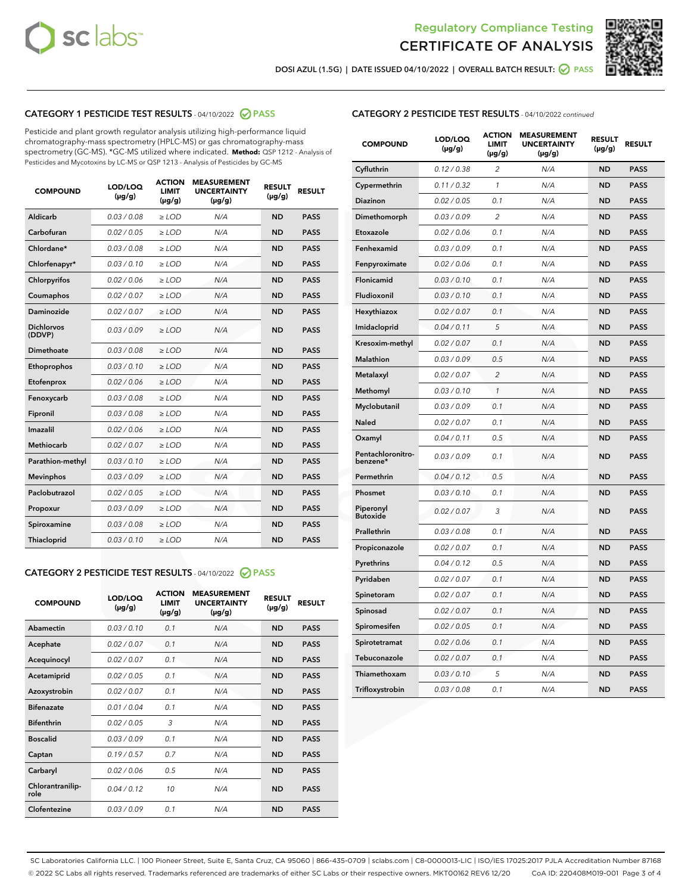



DOSI AZUL (1.5G) | DATE ISSUED 04/10/2022 | OVERALL BATCH RESULT: ● PASS

# CATEGORY 1 PESTICIDE TEST RESULTS - 04/10/2022 2 PASS

Pesticide and plant growth regulator analysis utilizing high-performance liquid chromatography-mass spectrometry (HPLC-MS) or gas chromatography-mass spectrometry (GC-MS). \*GC-MS utilized where indicated. **Method:** QSP 1212 - Analysis of Pesticides and Mycotoxins by LC-MS or QSP 1213 - Analysis of Pesticides by GC-MS

| <b>COMPOUND</b>             | LOD/LOQ<br>$(\mu g/g)$ | <b>ACTION</b><br><b>LIMIT</b><br>$(\mu g/g)$ | <b>MEASUREMENT</b><br><b>UNCERTAINTY</b><br>$(\mu g/g)$ | <b>RESULT</b><br>$(\mu g/g)$ | <b>RESULT</b> |
|-----------------------------|------------------------|----------------------------------------------|---------------------------------------------------------|------------------------------|---------------|
| Aldicarb                    | 0.03 / 0.08            | $\geq$ LOD                                   | N/A                                                     | <b>ND</b>                    | <b>PASS</b>   |
| Carbofuran                  | 0.02 / 0.05            | $\ge$ LOD                                    | N/A                                                     | <b>ND</b>                    | <b>PASS</b>   |
| Chlordane*                  | 0.03 / 0.08            | $\ge$ LOD                                    | N/A                                                     | <b>ND</b>                    | <b>PASS</b>   |
| Chlorfenapyr*               | 0.03/0.10              | $\ge$ LOD                                    | N/A                                                     | <b>ND</b>                    | <b>PASS</b>   |
| Chlorpyrifos                | 0.02 / 0.06            | $>$ LOD                                      | N/A                                                     | <b>ND</b>                    | <b>PASS</b>   |
| Coumaphos                   | 0.02 / 0.07            | $>$ LOD                                      | N/A                                                     | <b>ND</b>                    | <b>PASS</b>   |
| <b>Daminozide</b>           | 0.02 / 0.07            | $\ge$ LOD                                    | N/A                                                     | <b>ND</b>                    | <b>PASS</b>   |
| <b>Dichlorvos</b><br>(DDVP) | 0.03/0.09              | $\ge$ LOD                                    | N/A                                                     | <b>ND</b>                    | <b>PASS</b>   |
| <b>Dimethoate</b>           | 0.03/0.08              | $\ge$ LOD                                    | N/A                                                     | <b>ND</b>                    | <b>PASS</b>   |
| Ethoprophos                 | 0.03/0.10              | $\ge$ LOD                                    | N/A                                                     | <b>ND</b>                    | <b>PASS</b>   |
| Etofenprox                  | 0.02 / 0.06            | $\ge$ LOD                                    | N/A                                                     | <b>ND</b>                    | <b>PASS</b>   |
| Fenoxycarb                  | 0.03/0.08              | $>$ LOD                                      | N/A                                                     | <b>ND</b>                    | <b>PASS</b>   |
| Fipronil                    | 0.03/0.08              | $\ge$ LOD                                    | N/A                                                     | <b>ND</b>                    | <b>PASS</b>   |
| Imazalil                    | 0.02/0.06              | $>$ LOD                                      | N/A                                                     | <b>ND</b>                    | <b>PASS</b>   |
| <b>Methiocarb</b>           | 0.02 / 0.07            | $\ge$ LOD                                    | N/A                                                     | <b>ND</b>                    | <b>PASS</b>   |
| Parathion-methyl            | 0.03/0.10              | $>$ LOD                                      | N/A                                                     | <b>ND</b>                    | <b>PASS</b>   |
| <b>Mevinphos</b>            | 0.03/0.09              | $\ge$ LOD                                    | N/A                                                     | <b>ND</b>                    | <b>PASS</b>   |
| Paclobutrazol               | 0.02 / 0.05            | $>$ LOD                                      | N/A                                                     | <b>ND</b>                    | <b>PASS</b>   |
| Propoxur                    | 0.03/0.09              | $\ge$ LOD                                    | N/A                                                     | <b>ND</b>                    | <b>PASS</b>   |
| Spiroxamine                 | 0.03 / 0.08            | $\ge$ LOD                                    | N/A                                                     | <b>ND</b>                    | <b>PASS</b>   |
| Thiacloprid                 | 0.03/0.10              | $\geq$ LOD                                   | N/A                                                     | <b>ND</b>                    | <b>PASS</b>   |

# CATEGORY 2 PESTICIDE TEST RESULTS - 04/10/2022 @ PASS

| <b>COMPOUND</b>          | LOD/LOO<br>$(\mu g/g)$ | <b>ACTION</b><br><b>LIMIT</b><br>$(\mu g/g)$ | <b>MEASUREMENT</b><br><b>UNCERTAINTY</b><br>$(\mu g/g)$ | <b>RESULT</b><br>$(\mu g/g)$ | <b>RESULT</b> |  |
|--------------------------|------------------------|----------------------------------------------|---------------------------------------------------------|------------------------------|---------------|--|
| Abamectin                | 0.03/0.10              | 0.1                                          | N/A                                                     | <b>ND</b>                    | <b>PASS</b>   |  |
| Acephate                 | 0.02/0.07              | 0.1                                          | N/A                                                     | <b>ND</b>                    | <b>PASS</b>   |  |
| Acequinocyl              | 0.02/0.07              | 0.1                                          | N/A                                                     | <b>ND</b>                    | <b>PASS</b>   |  |
| Acetamiprid              | 0.02/0.05              | 0.1                                          | N/A                                                     | <b>ND</b>                    | <b>PASS</b>   |  |
| Azoxystrobin             | 0.02/0.07              | 0.1                                          | N/A                                                     | <b>ND</b>                    | <b>PASS</b>   |  |
| <b>Bifenazate</b>        | 0.01/0.04              | 0.1                                          | N/A                                                     | <b>ND</b>                    | <b>PASS</b>   |  |
| <b>Bifenthrin</b>        | 0.02 / 0.05            | 3                                            | N/A                                                     | <b>ND</b>                    | <b>PASS</b>   |  |
| <b>Boscalid</b>          | 0.03/0.09              | 0.1                                          | N/A                                                     | <b>ND</b>                    | <b>PASS</b>   |  |
| Captan                   | 0.19/0.57              | 0.7                                          | N/A                                                     | <b>ND</b>                    | <b>PASS</b>   |  |
| Carbaryl                 | 0.02/0.06              | 0.5                                          | N/A                                                     | <b>ND</b>                    | <b>PASS</b>   |  |
| Chlorantranilip-<br>role | 0.04/0.12              | 10                                           | N/A                                                     | <b>ND</b>                    | <b>PASS</b>   |  |
| Clofentezine             | 0.03/0.09              | 0 <sub>1</sub>                               | N/A                                                     | <b>ND</b>                    | <b>PASS</b>   |  |

# CATEGORY 2 PESTICIDE TEST RESULTS - 04/10/2022 continued

| <b>COMPOUND</b>               | LOD/LOQ<br>(µg/g) | <b>ACTION</b><br><b>LIMIT</b><br>(µg/g) | <b>MEASUREMENT</b><br><b>UNCERTAINTY</b><br>$(\mu g/g)$ | <b>RESULT</b><br>(µg/g) | <b>RESULT</b> |
|-------------------------------|-------------------|-----------------------------------------|---------------------------------------------------------|-------------------------|---------------|
| Cyfluthrin                    | 0.12 / 0.38       | 2                                       | N/A                                                     | <b>ND</b>               | <b>PASS</b>   |
| Cypermethrin                  | 0.11 / 0.32       | $\mathbf{1}$                            | N/A                                                     | <b>ND</b>               | <b>PASS</b>   |
| <b>Diazinon</b>               | 0.02 / 0.05       | 0.1                                     | N/A                                                     | <b>ND</b>               | <b>PASS</b>   |
| Dimethomorph                  | 0.03 / 0.09       | 2                                       | N/A                                                     | <b>ND</b>               | <b>PASS</b>   |
| Etoxazole                     | 0.02 / 0.06       | 0.1                                     | N/A                                                     | ND                      | <b>PASS</b>   |
| Fenhexamid                    | 0.03 / 0.09       | 0.1                                     | N/A                                                     | <b>ND</b>               | <b>PASS</b>   |
| Fenpyroximate                 | 0.02 / 0.06       | 0.1                                     | N/A                                                     | <b>ND</b>               | <b>PASS</b>   |
| Flonicamid                    | 0.03 / 0.10       | 0.1                                     | N/A                                                     | <b>ND</b>               | <b>PASS</b>   |
| Fludioxonil                   | 0.03 / 0.10       | 0.1                                     | N/A                                                     | <b>ND</b>               | <b>PASS</b>   |
| Hexythiazox                   | 0.02 / 0.07       | 0.1                                     | N/A                                                     | <b>ND</b>               | <b>PASS</b>   |
| Imidacloprid                  | 0.04 / 0.11       | 5                                       | N/A                                                     | <b>ND</b>               | <b>PASS</b>   |
| Kresoxim-methyl               | 0.02 / 0.07       | 0.1                                     | N/A                                                     | ND                      | <b>PASS</b>   |
| <b>Malathion</b>              | 0.03 / 0.09       | 0.5                                     | N/A                                                     | <b>ND</b>               | <b>PASS</b>   |
| Metalaxyl                     | 0.02 / 0.07       | 2                                       | N/A                                                     | <b>ND</b>               | <b>PASS</b>   |
| Methomyl                      | 0.03 / 0.10       | $\mathbf{1}$                            | N/A                                                     | <b>ND</b>               | <b>PASS</b>   |
| Myclobutanil                  | 0.03 / 0.09       | 0.1                                     | N/A                                                     | <b>ND</b>               | <b>PASS</b>   |
| <b>Naled</b>                  | 0.02 / 0.07       | 0.1                                     | N/A                                                     | <b>ND</b>               | <b>PASS</b>   |
| Oxamyl                        | 0.04 / 0.11       | 0.5                                     | N/A                                                     | ND                      | <b>PASS</b>   |
| Pentachloronitro-<br>benzene* | 0.03 / 0.09       | 0.1                                     | N/A                                                     | <b>ND</b>               | <b>PASS</b>   |
| Permethrin                    | 0.04/0.12         | 0.5                                     | N/A                                                     | <b>ND</b>               | <b>PASS</b>   |
| Phosmet                       | 0.03 / 0.10       | 0.1                                     | N/A                                                     | <b>ND</b>               | <b>PASS</b>   |
| Piperonyl<br><b>Butoxide</b>  | 0.02 / 0.07       | 3                                       | N/A                                                     | <b>ND</b>               | <b>PASS</b>   |
| Prallethrin                   | 0.03 / 0.08       | 0.1                                     | N/A                                                     | <b>ND</b>               | <b>PASS</b>   |
| Propiconazole                 | 0.02 / 0.07       | 0.1                                     | N/A                                                     | <b>ND</b>               | <b>PASS</b>   |
| Pyrethrins                    | 0.04 / 0.12       | 0.5                                     | N/A                                                     | <b>ND</b>               | <b>PASS</b>   |
| Pyridaben                     | 0.02 / 0.07       | 0.1                                     | N/A                                                     | <b>ND</b>               | PASS          |
| Spinetoram                    | 0.02 / 0.07       | 0.1                                     | N/A                                                     | ND                      | <b>PASS</b>   |
| Spinosad                      | 0.02 / 0.07       | 0.1                                     | N/A                                                     | <b>ND</b>               | <b>PASS</b>   |
| Spiromesifen                  | 0.02 / 0.05       | 0.1                                     | N/A                                                     | <b>ND</b>               | <b>PASS</b>   |
| Spirotetramat                 | 0.02 / 0.06       | 0.1                                     | N/A                                                     | ND                      | PASS          |
| Tebuconazole                  | 0.02 / 0.07       | 0.1                                     | N/A                                                     | <b>ND</b>               | <b>PASS</b>   |
| Thiamethoxam                  | 0.03 / 0.10       | 5                                       | N/A                                                     | ND                      | <b>PASS</b>   |
| Trifloxystrobin               | 0.03 / 0.08       | 0.1                                     | N/A                                                     | <b>ND</b>               | <b>PASS</b>   |

SC Laboratories California LLC. | 100 Pioneer Street, Suite E, Santa Cruz, CA 95060 | 866-435-0709 | sclabs.com | C8-0000013-LIC | ISO/IES 17025:2017 PJLA Accreditation Number 87168 © 2022 SC Labs all rights reserved. Trademarks referenced are trademarks of either SC Labs or their respective owners. MKT00162 REV6 12/20 CoA ID: 220408M019-001 Page 3 of 4